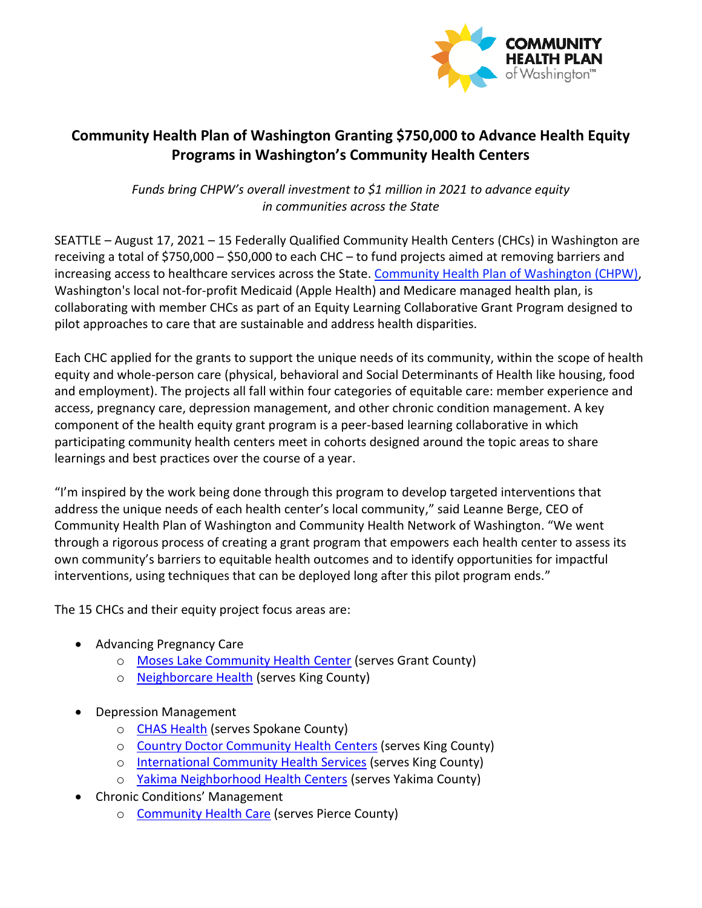

## **Community Health Plan of Washington Granting \$750,000 to Advance Health Equity Programs in Washington's Community Health Centers**

*Funds bring CHPW's overall investment to \$1 million in 2021 to advance equity in communities across the State* 

SEATTLE – August 17, 2021 – 15 Federally Qualified Community Health Centers (CHCs) in Washington are receiving a total of \$750,000 – \$50,000 to each CHC – to fund projects aimed at removing barriers and increasing access to healthcare services across the State. [Community Health Plan of Washington \(CHPW\),](http://www.chpw.org/) Washington's local not-for-profit Medicaid (Apple Health) and Medicare managed health plan, is collaborating with member CHCs as part of an Equity Learning Collaborative Grant Program designed to pilot approaches to care that are sustainable and address health disparities.

Each CHC applied for the grants to support the unique needs of its community, within the scope of health equity and whole-person care (physical, behavioral and Social Determinants of Health like housing, food and employment). The projects all fall within four categories of equitable care: member experience and access, pregnancy care, depression management, and other chronic condition management. A key component of the health equity grant program is a peer-based learning collaborative in which participating community health centers meet in cohorts designed around the topic areas to share learnings and best practices over the course of a year.

"I'm inspired by the work being done through this program to develop targeted interventions that address the unique needs of each health center's local community," said Leanne Berge, CEO of Community Health Plan of Washington and Community Health Network of Washington. "We went through a rigorous process of creating a grant program that empowers each health center to assess its own community's barriers to equitable health outcomes and to identify opportunities for impactful interventions, using techniques that can be deployed long after this pilot program ends."

The 15 CHCs and their equity project focus areas are:

- Advancing Pregnancy Care
	- o [Moses Lake Community Health Center](https://www.mlchc.org/) (serves Grant County)
	- o [Neighborcare Health](https://neighborcare.org/) (serves King County)
- Depression Management
	- o [CHAS Health](https://chas.org/) (serves Spokane County)
	- o [Country Doctor Community Health](https://countrydoctor.org/) Centers (serves King County)
	- o [International Community Health Services](https://www.ichs.com/) (serves King County)
	- o [Yakima Neighborhood Health Centers](https://www.ynhs.org/) (serves Yakima County)
- Chronic Conditions' Management
	- o [Community Health Care](https://www.commhealth.org/) (serves Pierce County)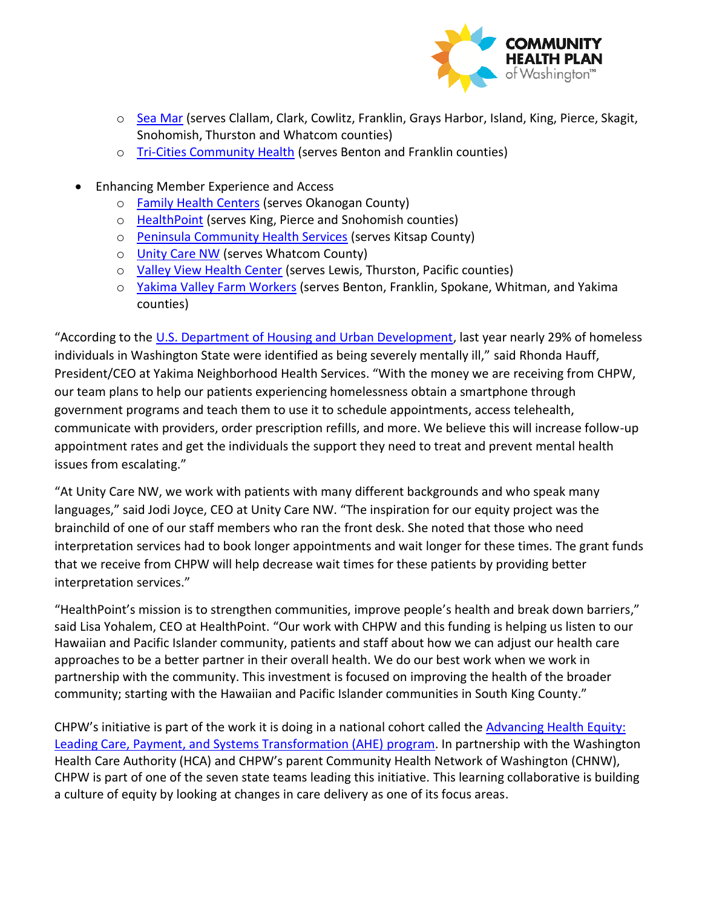

- o [Sea Mar](https://www.seamar.org/) (serves Clallam, Clark, Cowlitz, Franklin, Grays Harbor, Island, King, Pierce, Skagit, Snohomish, Thurston and Whatcom counties)
- o [Tri-Cities Community Health](https://mytcch.org/) (serves Benton and Franklin counties)
- Enhancing Member Experience and Access
	- o [Family Health Centers](https://myfamilyhealth.org/) (serves Okanogan County)
	- o [HealthPoint](https://www.healthpointchc.org/) (serves King, Pierce and Snohomish counties)
	- o [Peninsula Community Health Services](https://www.pchsweb.org/) (serves Kitsap County)
	- o [Unity Care NW](https://unitycarenw.org/) (serves Whatcom County)
	- o [Valley View Health Center](https://vvhc.org/) (serves Lewis, Thurston, Pacific counties)
	- o [Yakima Valley Farm Workers](https://www.yvfwc.com/) (serves Benton, Franklin, Spokane, Whitman, and Yakima counties)

"According to the [U.S. Department of Housing and Urban Development,](https://files.hudexchange.info/reports/published/CoC_PopSub_State_WA_2020.pdf) last year nearly 29% of homeless individuals in Washington State were identified as being severely mentally ill," said Rhonda Hauff, President/CEO at Yakima Neighborhood Health Services. "With the money we are receiving from CHPW, our team plans to help our patients experiencing homelessness obtain a smartphone through government programs and teach them to use it to schedule appointments, access telehealth, communicate with providers, order prescription refills, and more. We believe this will increase follow-up appointment rates and get the individuals the support they need to treat and prevent mental health issues from escalating."

"At Unity Care NW, we work with patients with many different backgrounds and who speak many languages," said Jodi Joyce, CEO at Unity Care NW. "The inspiration for our equity project was the brainchild of one of our staff members who ran the front desk. She noted that those who need interpretation services had to book longer appointments and wait longer for these times. The grant funds that we receive from CHPW will help decrease wait times for these patients by providing better interpretation services."

"HealthPoint's mission is to strengthen communities, improve people's health and break down barriers," said Lisa Yohalem, CEO at HealthPoint. "Our work with CHPW and this funding is helping us listen to our Hawaiian and Pacific Islander community, patients and staff about how we can adjust our health care approaches to be a better partner in their overall health. We do our best work when we work in partnership with the community. This investment is focused on improving the health of the broader community; starting with the Hawaiian and Pacific Islander communities in South King County."

CHPW's initiative is part of the work it is doing in a national cohort called the [Advancing Health Equity:](https://www.solvingdisparities.org/)  [Leading Care, Payment, and Systems Transformation \(AHE\)](https://www.solvingdisparities.org/) program. In partnership with the Washington Health Care Authority (HCA) and CHPW's parent Community Health Network of Washington (CHNW), CHPW is part of one of the seven state teams leading this initiative. This learning collaborative is building a culture of equity by looking at changes in care delivery as one of its focus areas.